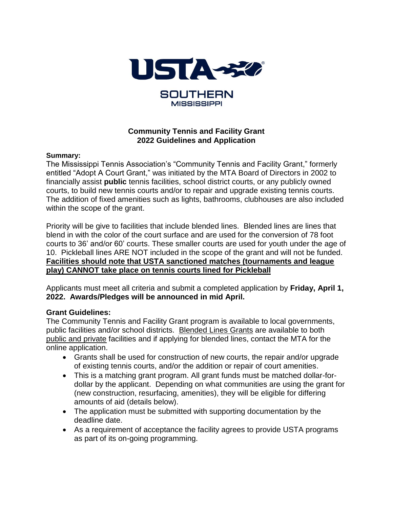

### **Community Tennis and Facility Grant 2022 Guidelines and Application**

#### **Summary:**

The Mississippi Tennis Association's "Community Tennis and Facility Grant," formerly entitled "Adopt A Court Grant," was initiated by the MTA Board of Directors in 2002 to financially assist **public** tennis facilities, school district courts, or any publicly owned courts, to build new tennis courts and/or to repair and upgrade existing tennis courts. The addition of fixed amenities such as lights, bathrooms, clubhouses are also included within the scope of the grant.

Priority will be give to facilities that include blended lines. Blended lines are lines that blend in with the color of the court surface and are used for the conversion of 78 foot courts to 36' and/or 60' courts. These smaller courts are used for youth under the age of 10. Pickleball lines ARE NOT included in the scope of the grant and will not be funded. **Facilities should note that USTA sanctioned matches (tournaments and league play) CANNOT take place on tennis courts lined for Pickleball**

Applicants must meet all criteria and submit a completed application by **Friday, April 1, 2022. Awards/Pledges will be announced in mid April.**

### **Grant Guidelines:**

The Community Tennis and Facility Grant program is available to local governments, public facilities and/or school districts. Blended Lines Grants are available to both public and private facilities and if applying for blended lines, contact the MTA for the online application.

- Grants shall be used for construction of new courts, the repair and/or upgrade of existing tennis courts, and/or the addition or repair of court amenities.
- This is a matching grant program. All grant funds must be matched dollar-fordollar by the applicant. Depending on what communities are using the grant for (new construction, resurfacing, amenities), they will be eligible for differing amounts of aid (details below).
- The application must be submitted with supporting documentation by the deadline date.
- As a requirement of acceptance the facility agrees to provide USTA programs as part of its on-going programming.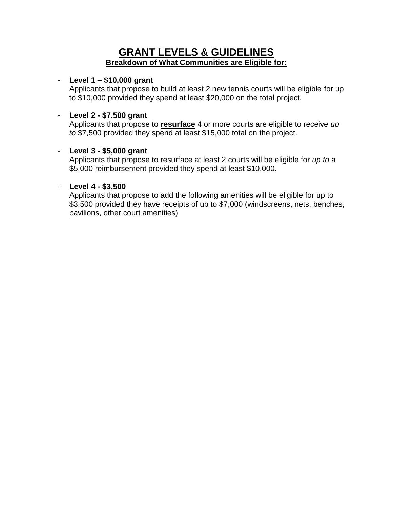## **GRANT LEVELS & GUIDELINES Breakdown of What Communities are Eligible for:**

### - **Level 1 – \$10,000 grant**

Applicants that propose to build at least 2 new tennis courts will be eligible for up to \$10,000 provided they spend at least \$20,000 on the total project.

### - **Level 2 - \$7,500 grant**

Applicants that propose to **resurface** 4 or more courts are eligible to receive *up to* \$7,500 provided they spend at least \$15,000 total on the project.

### - **Level 3 - \$5,000 grant**

Applicants that propose to resurface at least 2 courts will be eligible for *up to* a \$5,000 reimbursement provided they spend at least \$10,000.

### - **Level 4 - \$3,500**

Applicants that propose to add the following amenities will be eligible for up to \$3,500 provided they have receipts of up to \$7,000 (windscreens, nets, benches, pavilions, other court amenities)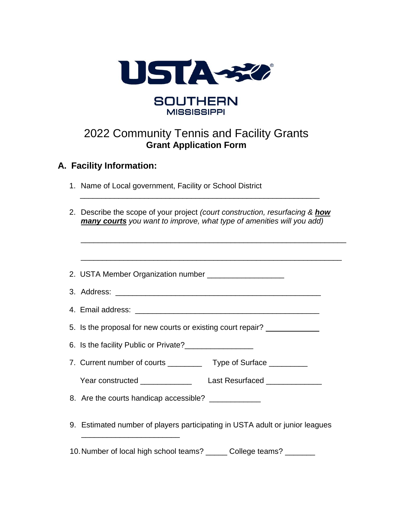

# 2022 Community Tennis and Facility Grants **Grant Application Form**

## **A. Facility Information:**

1. Name of Local government, Facility or School District

|  | 2. Describe the scope of your project (court construction, resurfacing & <b>how</b> |
|--|-------------------------------------------------------------------------------------|
|  | many courts you want to improve, what type of amenities will you add)               |

\_\_\_\_\_\_\_\_\_\_\_\_\_\_\_\_\_\_\_\_\_\_\_\_\_\_\_\_\_\_\_\_\_\_\_\_\_\_\_\_\_\_\_\_\_\_\_\_\_\_\_\_\_\_\_\_

| 2. USTA Member Organization number ______________________                        |                                                                              |  |
|----------------------------------------------------------------------------------|------------------------------------------------------------------------------|--|
|                                                                                  |                                                                              |  |
|                                                                                  |                                                                              |  |
| 5. Is the proposal for new courts or existing court repair? ____________________ |                                                                              |  |
|                                                                                  | 6. Is the facility Public or Private?                                        |  |
|                                                                                  | 7. Current number of courts ____________ Type of Surface __________          |  |
|                                                                                  |                                                                              |  |
| 8. Are the courts handicap accessible? _____________                             |                                                                              |  |
|                                                                                  | 9. Estimated number of players participating in USTA adult or junior leagues |  |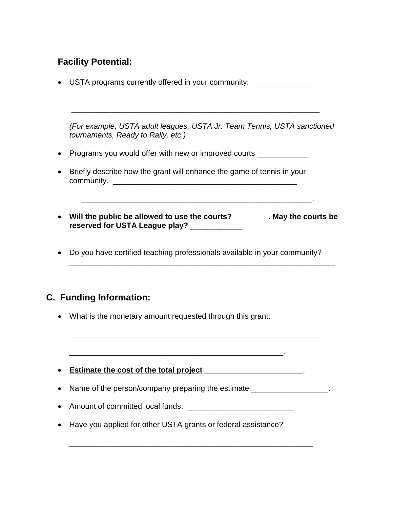## **Facility Potential:**

• USTA programs currently offered in your community.

*(For example, USTA adult leagues, USTA Jr. Team Tennis, USTA sanctioned tournaments, Ready to Rally, etc.)*

\_\_\_\_\_\_\_\_\_\_\_\_\_\_\_\_\_\_\_\_\_\_\_\_\_\_\_\_\_\_\_\_\_\_\_\_\_\_\_\_\_\_\_\_\_\_\_\_\_\_\_\_\_\_\_\_\_\_

- Programs you would offer with new or improved courts \_\_\_\_\_\_\_\_\_\_\_\_\_
- Briefly describe how the grant will enhance the game of tennis in your community.
- **Will the public be allowed to use the courts? \_\_\_\_\_\_\_\_. May the courts be reserved for USTA League play?** \_\_\_\_\_\_\_\_\_\_\_\_

\_\_\_\_\_\_\_\_\_\_\_\_\_\_\_\_\_\_\_\_\_\_\_\_\_\_\_\_\_\_\_\_\_\_\_\_\_\_\_\_\_\_\_\_\_\_\_\_\_\_\_\_\_\_\_\_\_\_\_\_\_\_

 $\frac{1}{2}$  ,  $\frac{1}{2}$  ,  $\frac{1}{2}$  ,  $\frac{1}{2}$  ,  $\frac{1}{2}$  ,  $\frac{1}{2}$  ,  $\frac{1}{2}$  ,  $\frac{1}{2}$  ,  $\frac{1}{2}$  ,  $\frac{1}{2}$  ,  $\frac{1}{2}$  ,  $\frac{1}{2}$  ,  $\frac{1}{2}$  ,  $\frac{1}{2}$  ,  $\frac{1}{2}$  ,  $\frac{1}{2}$  ,  $\frac{1}{2}$  ,  $\frac{1}{2}$  ,  $\frac{1$ 

Do you have certified teaching professionals available in your community?

## **C. Funding Information:**

- What is the monetary amount requested through this grant:
- **Estimate the cost of the total project** \_\_\_\_\_\_\_\_\_\_\_\_\_\_\_\_\_\_\_\_\_\_\_.
- Name of the person/company preparing the estimate \_\_\_\_\_\_\_\_\_\_\_\_\_\_\_\_\_\_\_\_\_\_\_\_\_\_\_\_

\_\_\_\_\_\_\_\_\_\_\_\_\_\_\_\_\_\_\_\_\_\_\_\_\_\_\_\_\_\_\_\_\_\_\_\_\_\_\_\_\_\_\_\_\_\_\_\_\_\_\_\_\_\_\_\_\_

• Amount of committed local funds:

\_\_\_\_\_\_\_\_\_\_\_\_\_\_\_\_\_\_\_\_\_\_\_\_\_\_\_\_\_\_\_\_\_\_\_\_\_\_\_\_\_\_\_\_\_\_\_\_\_\_.

• Have you applied for other USTA grants or federal assistance?